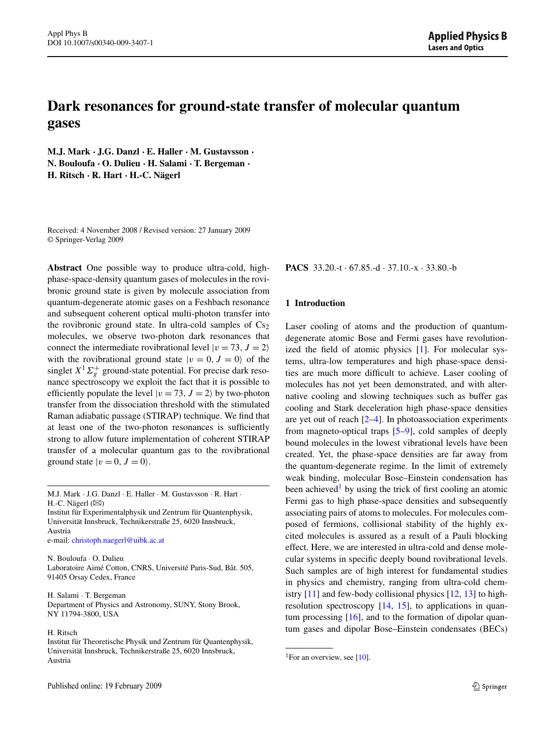# **Dark resonances for ground-state transfer of molecular quantum gases**

**M.J. Mark · J.G. Danzl · E. Haller · M. Gustavsson · N. Bouloufa · O. Dulieu · H. Salami · T. Bergeman · H. Ritsch · R. Hart · H.-C. Nägerl**

Received: 4 November 2008 / Revised version: 27 January 2009 © Springer-Verlag 2009

**Abstract** One possible way to produce ultra-cold, highphase-space-density quantum gases of molecules in the rovibronic ground state is given by molecule association from quantum-degenerate atomic gases on a Feshbach resonance and subsequent coherent optical multi-photon transfer into the rovibronic ground state. In ultra-cold samples of  $Cs<sub>2</sub>$ molecules, we observe two-photon dark resonances that connect the intermediate rovibrational level  $|v = 73, J = 2\rangle$ with the rovibrational ground state  $|v = 0, J = 0\rangle$  of the singlet  $X^1 \Sigma_g^+$  ground-state potential. For precise dark resonance spectroscopy we exploit the fact that it is possible to efficiently populate the level  $|v = 73, J = 2\rangle$  by two-photon transfer from the dissociation threshold with the stimulated Raman adiabatic passage (STIRAP) technique. We find that at least one of the two-photon resonances is sufficiently strong to allow future implementation of coherent STIRAP transfer of a molecular quantum gas to the rovibrational ground state  $|v = 0, J = 0\rangle$ .

M.J. Mark · J.G. Danzl · E. Haller · M. Gustavsson · R. Hart · H.-C. Nägerl (⊠)

Institut für Experimentalphysik und Zentrum für Quantenphysik, Universität Innsbruck, Technikerstraße 25, 6020 Innsbruck, Austria e-mail: [christoph.naegerl@uibk.ac.at](mailto:christoph.naegerl@uibk.ac.at)

N. Bouloufa · O. Dulieu Laboratoire Aimé Cotton, CNRS, Université Paris-Sud, Bât. 505, 91405 Orsay Cedex, France

H. Salami · T. Bergeman Department of Physics and Astronomy, SUNY, Stony Brook, NY 11794-3800, USA

### H. Ritsch

Institut für Theoretische Physik und Zentrum für Quantenphysik, Universität Innsbruck, Technikerstraße 25, 6020 Innsbruck, Austria

**PACS** 33.20.-t · 67.85.-d · 37.10.-x · 33.80.-b

## **1 Introduction**

Laser cooling of atoms and the production of quantumdegenerate atomic Bose and Fermi gases have revolutionized the field of atomic physics [\[1](#page-5-0)]. For molecular systems, ultra-low temperatures and high phase-space densities are much more difficult to achieve. Laser cooling of molecules has not yet been demonstrated, and with alternative cooling and slowing techniques such as buffer gas cooling and Stark deceleration high phase-space densities are yet out of reach  $[2-4]$ . In photoassociation experiments from magneto-optical traps [\[5–9\]](#page-5-0), cold samples of deeply bound molecules in the lowest vibrational levels have been created. Yet, the phase-space densities are far away from the quantum-degenerate regime. In the limit of extremely weak binding, molecular Bose–Einstein condensation has been achieved<sup>1</sup> by using the trick of first cooling an atomic Fermi gas to high phase-space densities and subsequently associating pairs of atoms to molecules. For molecules composed of fermions, collisional stability of the highly excited molecules is assured as a result of a Pauli blocking effect. Here, we are interested in ultra-cold and dense molecular systems in specific deeply bound rovibrational levels. Such samples are of high interest for fundamental studies in physics and chemistry, ranging from ultra-cold chemistry [\[11](#page-6-0)] and few-body collisional physics [\[12,](#page-6-0) [13\]](#page-6-0) to highresolution spectroscopy [\[14](#page-6-0), [15\]](#page-6-0), to applications in quantum processing [[16\]](#page-6-0), and to the formation of dipolar quantum gases and dipolar Bose–Einstein condensates (BECs)

<sup>&</sup>lt;sup>1</sup>For an overview, see  $[10]$  $[10]$  $[10]$ .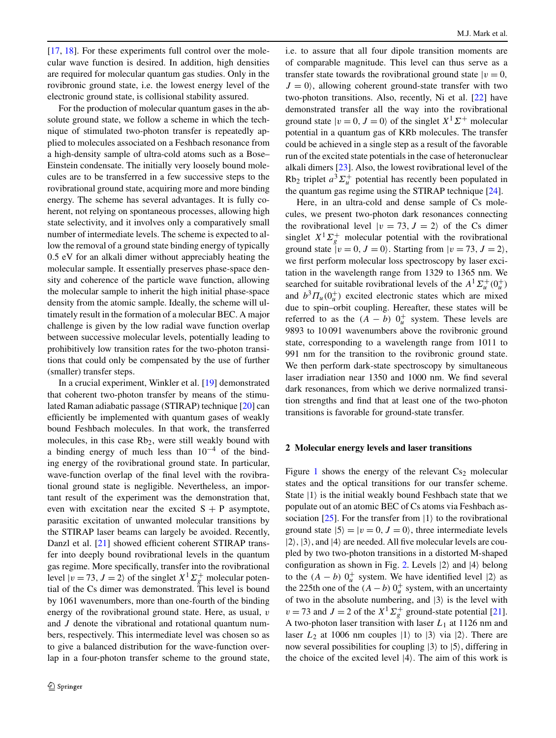[\[17](#page-6-0), [18](#page-6-0)]. For these experiments full control over the molecular wave function is desired. In addition, high densities are required for molecular quantum gas studies. Only in the rovibronic ground state, i.e. the lowest energy level of the electronic ground state, is collisional stability assured.

For the production of molecular quantum gases in the absolute ground state, we follow a scheme in which the technique of stimulated two-photon transfer is repeatedly applied to molecules associated on a Feshbach resonance from a high-density sample of ultra-cold atoms such as a Bose– Einstein condensate. The initially very loosely bound molecules are to be transferred in a few successive steps to the rovibrational ground state, acquiring more and more binding energy. The scheme has several advantages. It is fully coherent, not relying on spontaneous processes, allowing high state selectivity, and it involves only a comparatively small number of intermediate levels. The scheme is expected to allow the removal of a ground state binding energy of typically 0.5 eV for an alkali dimer without appreciably heating the molecular sample. It essentially preserves phase-space density and coherence of the particle wave function, allowing the molecular sample to inherit the high initial phase-space density from the atomic sample. Ideally, the scheme will ultimately result in the formation of a molecular BEC. A major challenge is given by the low radial wave function overlap between successive molecular levels, potentially leading to prohibitively low transition rates for the two-photon transitions that could only be compensated by the use of further (smaller) transfer steps.

In a crucial experiment, Winkler et al. [[19](#page-6-0)] demonstrated that coherent two-photon transfer by means of the stimulated Raman adiabatic passage (STIRAP) technique [[20\]](#page-6-0) can efficiently be implemented with quantum gases of weakly bound Feshbach molecules. In that work, the transferred molecules, in this case  $Rb_2$ , were still weakly bound with a binding energy of much less than  $10^{-4}$  of the binding energy of the rovibrational ground state. In particular, wave-function overlap of the final level with the rovibrational ground state is negligible. Nevertheless, an important result of the experiment was the demonstration that, even with excitation near the excited  $S + P$  asymptote, parasitic excitation of unwanted molecular transitions by the STIRAP laser beams can largely be avoided. Recently, Danzl et al. [[21\]](#page-6-0) showed efficient coherent STIRAP transfer into deeply bound rovibrational levels in the quantum gas regime. More specifically, transfer into the rovibrational level  $|v = 73$ ,  $J = 2$  of the singlet  $X^1 \Sigma_g^+$  molecular potential of the Cs dimer was demonstrated. This level is bound by 1061 wavenumbers, more than one-fourth of the binding energy of the rovibrational ground state. Here, as usual, *v* and *J* denote the vibrational and rotational quantum numbers, respectively. This intermediate level was chosen so as to give a balanced distribution for the wave-function overlap in a four-photon transfer scheme to the ground state,

i.e. to assure that all four dipole transition moments are of comparable magnitude. This level can thus serve as a transfer state towards the rovibrational ground state  $|v = 0$ ,  $J = 0$ , allowing coherent ground-state transfer with two two-photon transitions. Also, recently, Ni et al. [\[22](#page-6-0)] have demonstrated transfer all the way into the rovibrational ground state  $|v = 0, J = 0\rangle$  of the singlet  $X^1 \Sigma^+$  molecular potential in a quantum gas of KRb molecules. The transfer could be achieved in a single step as a result of the favorable run of the excited state potentials in the case of heteronuclear alkali dimers [[23\]](#page-6-0). Also, the lowest rovibrational level of the Rb<sub>2</sub> triplet  $a^3 \Sigma_u^+$  potential has recently been populated in the quantum gas regime using the STIRAP technique [[24\]](#page-6-0).

Here, in an ultra-cold and dense sample of Cs molecules, we present two-photon dark resonances connecting the rovibrational level  $|v = 73, J = 2\rangle$  of the Cs dimer singlet  $X^1 \Sigma_g^+$  molecular potential with the rovibrational ground state  $|v = 0, J = 0\rangle$ . Starting from  $|v = 73, J = 2\rangle$ , we first perform molecular loss spectroscopy by laser excitation in the wavelength range from 1329 to 1365 nm. We searched for suitable rovibrational levels of the  $A^1 \Sigma_u^+ (0_u^+)$ and  $b^3 \Pi_u(0_u^+)$  excited electronic states which are mixed due to spin–orbit coupling. Hereafter, these states will be referred to as the  $(A - b)$   $0<sub>u</sub><sup>+</sup>$  system. These levels are 9893 to 10 091 wavenumbers above the rovibronic ground state, corresponding to a wavelength range from 1011 to 991 nm for the transition to the rovibronic ground state. We then perform dark-state spectroscopy by simultaneous laser irradiation near 1350 and 1000 nm. We find several dark resonances, from which we derive normalized transition strengths and find that at least one of the two-photon transitions is favorable for ground-state transfer.

## **2 Molecular energy levels and laser transitions**

Figure [1](#page-2-0) shows the energy of the relevant  $Cs<sub>2</sub>$  molecular states and the optical transitions for our transfer scheme. State  $|1\rangle$  is the initial weakly bound Feshbach state that we populate out of an atomic BEC of Cs atoms via Feshbach as-sociation [[25\]](#page-6-0). For the transfer from  $|1\rangle$  to the rovibrational ground state  $|5\rangle = |v = 0, J = 0\rangle$ , three intermediate levels  $|2\rangle$ ,  $|3\rangle$ , and  $|4\rangle$  are needed. All five molecular levels are coupled by two two-photon transitions in a distorted M-shaped configuration as shown in Fig. [2](#page-2-0). Levels  $|2\rangle$  and  $|4\rangle$  belong to the  $(A - b)$   $0^+_u$  system. We have identified level  $|2\rangle$  as the 225th one of the  $(A - b)$   $0<sub>u</sub><sup>+</sup>$  system, with an uncertainty of two in the absolute numbering, and  $|3\rangle$  is the level with  $v = 73$  and  $J = 2$  of the  $X^1 \Sigma_g^+$  ground-state potential [\[21](#page-6-0)]. A two-photon laser transition with laser *L*<sup>1</sup> at 1126 nm and laser  $L_2$  at 1006 nm couples  $|1\rangle$  to  $|3\rangle$  via  $|2\rangle$ . There are now several possibilities for coupling  $|3\rangle$  to  $|5\rangle$ , differing in the choice of the excited level  $|4\rangle$ . The aim of this work is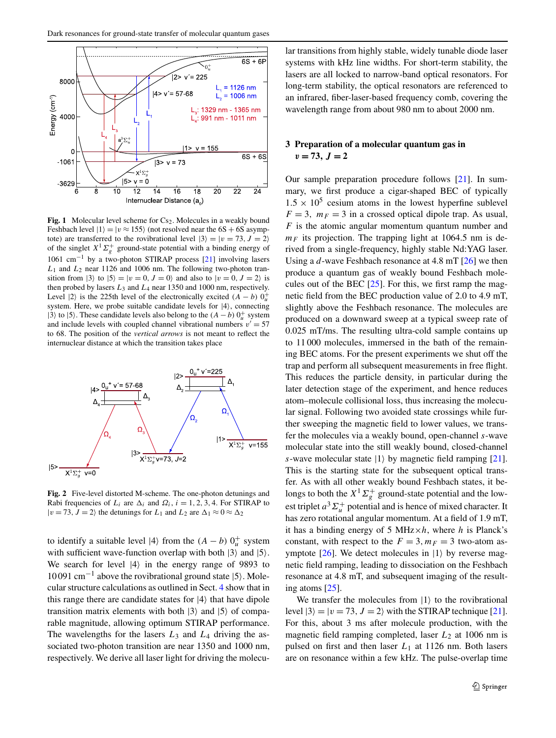<span id="page-2-0"></span>

**Fig. 1** Molecular level scheme for Cs<sub>2</sub>. Molecules in a weakly bound Feshbach level  $|1\rangle = |v \approx 155\rangle$  (not resolved near the  $6S + 6S$  asymptote) are transferred to the rovibrational level  $|3\rangle = |v = 73, J = 2\rangle$ of the singlet  $X^1 \Sigma_g^+$  ground-state potential with a binding energy of 1061 cm−<sup>1</sup> by a two-photon STIRAP process [[21](#page-6-0)] involving lasers *L*<sup>1</sup> and *L*<sup>2</sup> near 1126 and 1006 nm. The following two-photon transition from  $|3\rangle$  to  $|5\rangle = |v = 0, J = 0\rangle$  and also to  $|v = 0, J = 2\rangle$  is then probed by lasers  $L_3$  and  $L_4$  near 1350 and 1000 nm, respectively. Level  $|2\rangle$  is the 225th level of the electronically excited  $(A - b)$   $0_{u}^{+}$ system. Here, we probe suitable candidate levels for  $|4\rangle$ , connecting  $|3\rangle$  to  $|5\rangle$ . These candidate levels also belong to the  $(A - b)$   $0<sup>+</sup><sub>u</sub>$  system and include levels with coupled channel vibrational numbers  $v' = 57$ to 68. The position of the *vertical arrows* is not meant to reflect the internuclear distance at which the transition takes place



**Fig. 2** Five-level distorted M-scheme. The one-photon detunings and Rabi frequencies of  $L_i$  are  $\Delta_i$  and  $\Omega_i$ ,  $i = 1, 2, 3, 4$ . For STIRAP to  $|v = 73$ ,  $J = 2$  the detunings for  $L_1$  and  $L_2$  are  $\Delta_1 \approx 0 \approx \Delta_2$ 

to identify a suitable level  $|4\rangle$  from the  $(A - b)$   $0<sub>u</sub><sup>+</sup>$  system with sufficient wave-function overlap with both  $|3\rangle$  and  $|5\rangle$ . We search for level  $|4\rangle$  in the energy range of 9893 to 10 091 cm<sup>-1</sup> above the rovibrational ground state  $|5\rangle$ . Molecular structure calculations as outlined in Sect. [4](#page-3-0) show that in this range there are candidate states for  $|4\rangle$  that have dipole transition matrix elements with both  $|3\rangle$  and  $|5\rangle$  of comparable magnitude, allowing optimum STIRAP performance. The wavelengths for the lasers *L*<sup>3</sup> and *L*<sup>4</sup> driving the associated two-photon transition are near 1350 and 1000 nm, respectively. We derive all laser light for driving the molecular transitions from highly stable, widely tunable diode laser systems with kHz line widths. For short-term stability, the lasers are all locked to narrow-band optical resonators. For long-term stability, the optical resonators are referenced to an infrared, fiber-laser-based frequency comb, covering the wavelength range from about 980 nm to about 2000 nm.

## **3 Preparation of a molecular quantum gas in**  $v = 73$ *,*  $J = 2$

Our sample preparation procedure follows [[21\]](#page-6-0). In summary, we first produce a cigar-shaped BEC of typically  $1.5 \times 10^5$  cesium atoms in the lowest hyperfine sublevel  $F = 3$ ,  $m_F = 3$  in a crossed optical dipole trap. As usual, *F* is the atomic angular momentum quantum number and  $m_F$  its projection. The trapping light at 1064.5 nm is derived from a single-frequency, highly stable Nd:YAG laser. Using a *d*-wave Feshbach resonance at 4.8 mT [\[26](#page-6-0)] we then produce a quantum gas of weakly bound Feshbach molecules out of the BEC  $[25]$  $[25]$ . For this, we first ramp the magnetic field from the BEC production value of 2.0 to 4.9 mT, slightly above the Feshbach resonance. The molecules are produced on a downward sweep at a typical sweep rate of 0.025 mT/ms. The resulting ultra-cold sample contains up to 11 000 molecules, immersed in the bath of the remaining BEC atoms. For the present experiments we shut off the trap and perform all subsequent measurements in free flight. This reduces the particle density, in particular during the later detection stage of the experiment, and hence reduces atom–molecule collisional loss, thus increasing the molecular signal. Following two avoided state crossings while further sweeping the magnetic field to lower values, we transfer the molecules via a weakly bound, open-channel *s*-wave molecular state into the still weakly bound, closed-channel *s*-wave molecular state  $|1\rangle$  by magnetic field ramping [\[21](#page-6-0)]. This is the starting state for the subsequent optical transfer. As with all other weakly bound Feshbach states, it belongs to both the  $X^1 \Sigma_g^+$  ground-state potential and the lowest triplet  $a^3 \Sigma_u^+$  potential and is hence of mixed character. It has zero rotational angular momentum. At a field of 1.9 mT, it has a binding energy of 5 MHz×*h*, where *h* is Planck's constant, with respect to the  $F = 3$ ,  $m_F = 3$  two-atom as-ymptote [\[26](#page-6-0)]. We detect molecules in  $|1\rangle$  by reverse magnetic field ramping, leading to dissociation on the Feshbach resonance at 4.8 mT, and subsequent imaging of the resulting atoms [[25\]](#page-6-0).

We transfer the molecules from  $|1\rangle$  to the rovibrational level  $|3\rangle = |v = 73, J = 2\rangle$  with the STIRAP technique [\[21](#page-6-0)]. For this, about 3 ms after molecule production, with the magnetic field ramping completed, laser *L*<sup>2</sup> at 1006 nm is pulsed on first and then laser *L*<sup>1</sup> at 1126 nm. Both lasers are on resonance within a few kHz. The pulse-overlap time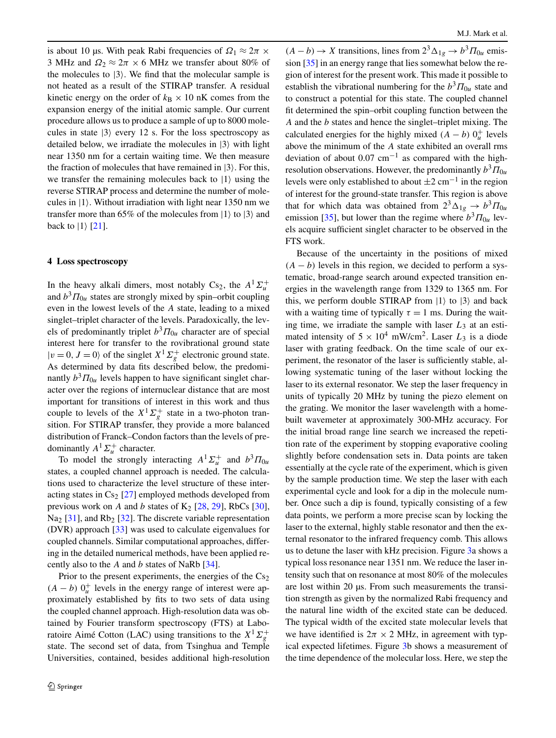<span id="page-3-0"></span>is about 10 µs. With peak Rabi frequencies of  $\Omega_1 \approx 2\pi \times$ 3 MHz and  $\Omega_2 \approx 2\pi \times 6$  MHz we transfer about 80% of the molecules to  $|3\rangle$ . We find that the molecular sample is not heated as a result of the STIRAP transfer. A residual kinetic energy on the order of  $k_B \times 10$  nK comes from the expansion energy of the initial atomic sample. Our current procedure allows us to produce a sample of up to 8000 molecules in state  $|3\rangle$  every 12 s. For the loss spectroscopy as detailed below, we irradiate the molecules in  $|3\rangle$  with light near 1350 nm for a certain waiting time. We then measure the fraction of molecules that have remained in  $|3\rangle$ . For this, we transfer the remaining molecules back to  $|1\rangle$  using the reverse STIRAP process and determine the number of molecules in  $|1\rangle$ . Without irradiation with light near 1350 nm we transfer more than 65% of the molecules from  $|1\rangle$  to  $|3\rangle$  and back to  $|1\rangle$  [[21\]](#page-6-0).

### **4 Loss spectroscopy**

In the heavy alkali dimers, most notably Cs<sub>2</sub>, the  $A^1 \Sigma_u^+$ and  $b^3\Pi_{0\mu}$  states are strongly mixed by spin–orbit coupling even in the lowest levels of the *A* state, leading to a mixed singlet–triplet character of the levels. Paradoxically, the levels of predominantly triplet  $b^3 \Pi_{0u}$  character are of special interest here for transfer to the rovibrational ground state  $|v = 0, J = 0\rangle$  of the singlet  $X^1 \Sigma_g^+$  electronic ground state. As determined by data fits described below, the predominantly  $b^3 \Pi_{0u}$  levels happen to have significant singlet character over the regions of internuclear distance that are most important for transitions of interest in this work and thus couple to levels of the  $X^1 \Sigma_g^+$  state in a two-photon transition. For STIRAP transfer, they provide a more balanced distribution of Franck–Condon factors than the levels of predominantly  $A^1 \Sigma_u^+$  character.

To model the strongly interacting  $A^1 \Sigma_u^+$  and  $b^3 \Pi_{0u}$ states, a coupled channel approach is needed. The calculations used to characterize the level structure of these interacting states in  $Cs<sub>2</sub>$  [\[27](#page-6-0)] employed methods developed from previous work on *A* and *b* states of  $K_2$  [[28,](#page-6-0) [29\]](#page-6-0), RbCs [\[30](#page-6-0)], Na<sub>2</sub> [[31\]](#page-6-0), and Rb<sub>2</sub> [\[32](#page-6-0)]. The discrete variable representation (DVR) approach [[33\]](#page-6-0) was used to calculate eigenvalues for coupled channels. Similar computational approaches, differing in the detailed numerical methods, have been applied recently also to the *A* and *b* states of NaRb [\[34](#page-6-0)].

Prior to the present experiments, the energies of the  $Cs<sub>2</sub>$  $(A - b)$  0<sup>+</sup> levels in the energy range of interest were approximately established by fits to two sets of data using the coupled channel approach. High-resolution data was obtained by Fourier transform spectroscopy (FTS) at Laboratoire Aimé Cotton (LAC) using transitions to the  $X^1 \Sigma_g^+$ state. The second set of data, from Tsinghua and Temple Universities, contained, besides additional high-resolution

 $(A - b) \rightarrow X$  transitions, lines from  $2^3 \Delta_{1g} \rightarrow b^3 \Pi_{0u}$  emission [[35\]](#page-6-0) in an energy range that lies somewhat below the region of interest for the present work. This made it possible to establish the vibrational numbering for the  $b^3\Pi_{0\mu}$  state and to construct a potential for this state. The coupled channel fit determined the spin–orbit coupling function between the *A* and the *b* states and hence the singlet–triplet mixing. The calculated energies for the highly mixed  $(A - b)$   $0<sub>u</sub><sup>+</sup>$  levels above the minimum of the *A* state exhibited an overall rms deviation of about 0.07 cm<sup>-1</sup> as compared with the highresolution observations. However, the predominantly  $b^3\Pi_{0u}$ levels were only established to about  $\pm 2$  cm<sup>-1</sup> in the region of interest for the ground-state transfer. This region is above that for which data was obtained from  $2^3\Delta_{1g} \rightarrow b^3\Pi_{0u}$ emission [\[35](#page-6-0)], but lower than the regime where  $b^3 \Pi_{0u}$  levels acquire sufficient singlet character to be observed in the FTS work.

Because of the uncertainty in the positions of mixed  $(A - b)$  levels in this region, we decided to perform a systematic, broad-range search around expected transition energies in the wavelength range from 1329 to 1365 nm. For this, we perform double STIRAP from  $|1\rangle$  to  $|3\rangle$  and back with a waiting time of typically  $\tau = 1$  ms. During the waiting time, we irradiate the sample with laser  $L_3$  at an estimated intensity of  $5 \times 10^4$  mW/cm<sup>2</sup>. Laser  $L_3$  is a diode laser with grating feedback. On the time scale of our experiment, the resonator of the laser is sufficiently stable, allowing systematic tuning of the laser without locking the laser to its external resonator. We step the laser frequency in units of typically 20 MHz by tuning the piezo element on the grating. We monitor the laser wavelength with a homebuilt wavemeter at approximately 300-MHz accuracy. For the initial broad range line search we increased the repetition rate of the experiment by stopping evaporative cooling slightly before condensation sets in. Data points are taken essentially at the cycle rate of the experiment, which is given by the sample production time. We step the laser with each experimental cycle and look for a dip in the molecule number. Once such a dip is found, typically consisting of a few data points, we perform a more precise scan by locking the laser to the external, highly stable resonator and then the external resonator to the infrared frequency comb. This allows us to detune the laser with kHz precision. Figure [3a](#page-4-0) shows a typical loss resonance near 1351 nm. We reduce the laser intensity such that on resonance at most 80% of the molecules are lost within 20 µs. From such measurements the transition strength as given by the normalized Rabi frequency and the natural line width of the excited state can be deduced. The typical width of the excited state molecular levels that we have identified is  $2\pi \times 2$  MHz, in agreement with typical expected lifetimes. Figure [3](#page-4-0)b shows a measurement of the time dependence of the molecular loss. Here, we step the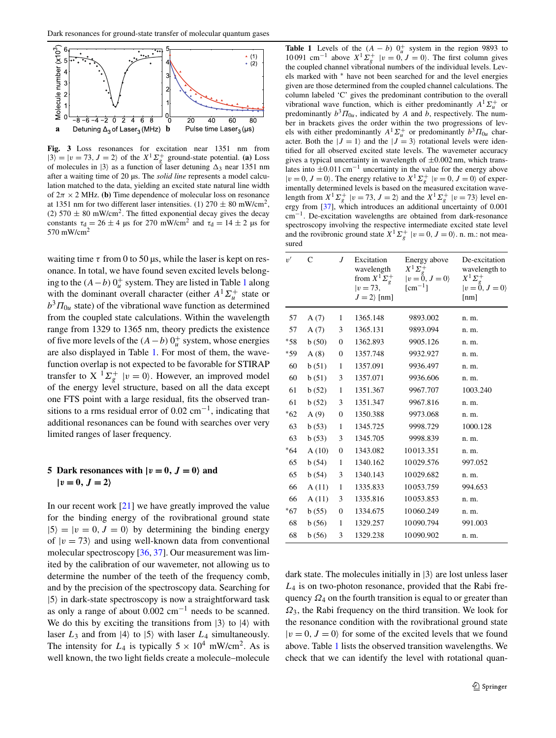<span id="page-4-0"></span>

**Fig. 3** Loss resonances for excitation near 1351 nm from  $|3\rangle = |v = 73, J = 2\rangle$  of the  $X^1 \Sigma_g^+$  ground-state potential. **(a)** Loss of molecules in  $|3\rangle$  as a function of laser detuning  $\Delta_3$  near 1351 nm after a waiting time of 20 µs. The *solid line* represents a model calculation matched to the data, yielding an excited state natural line width of  $2\pi \times 2$  MHz. **(b)** Time dependence of molecular loss on resonance at 1351 nm for two different laser intensities. (1)  $270 \pm 80$  mW/cm<sup>2</sup>, (2)  $570 \pm 80$  mW/cm<sup>2</sup>. The fitted exponential decay gives the decay constants  $\tau_d = 26 \pm 4$  µs for 270 mW/cm<sup>2</sup> and  $\tau_d = 14 \pm 2$  µs for 570 mW/cm<sup>2</sup>

waiting time  $\tau$  from 0 to 50  $\mu$ s, while the laser is kept on resonance. In total, we have found seven excited levels belonging to the  $(A - b)$   $0<sub>u</sub><sup>+</sup>$  system. They are listed in Table 1 along with the dominant overall character (either  $A^T \Sigma_u^+$  state or  $b<sup>3</sup>$ *Π*<sub>0*u*</sub> state) of the vibrational wave function as determined from the coupled state calculations. Within the wavelength range from 1329 to 1365 nm, theory predicts the existence of five more levels of the  $(A - b)$   $0<sub>u</sub><sup>+</sup>$  system, whose energies are also displayed in Table 1. For most of them, the wavefunction overlap is not expected to be favorable for STIRAP transfer to  $X^{-1}\Sigma_g^+$   $|v=0\rangle$ . However, an improved model of the energy level structure, based on all the data except one FTS point with a large residual, fits the observed transitions to a rms residual error of  $0.02 \text{ cm}^{-1}$ , indicating that additional resonances can be found with searches over very limited ranges of laser frequency.

## **5** Dark resonances with  $|v = 0, J = 0\rangle$  and  $|v = 0, J = 2\rangle$

In our recent work  $[21]$  $[21]$  we have greatly improved the value for the binding energy of the rovibrational ground state  $|5\rangle = |v = 0, J = 0\rangle$  by determining the binding energy of  $|v = 73\rangle$  and using well-known data from conventional molecular spectroscopy [[36,](#page-6-0) [37](#page-6-0)]. Our measurement was limited by the calibration of our wavemeter, not allowing us to determine the number of the teeth of the frequency comb, and by the precision of the spectroscopy data. Searching for  $|5\rangle$  in dark-state spectroscopy is now a straightforward task as only a range of about  $0.002 \text{ cm}^{-1}$  needs to be scanned. We do this by exciting the transitions from  $|3\rangle$  to  $|4\rangle$  with laser  $L_3$  and from  $|4\rangle$  to  $|5\rangle$  with laser  $L_4$  simultaneously. The intensity for  $L_4$  is typically  $5 \times 10^4$  mW/cm<sup>2</sup>. As is well known, the two light fields create a molecule–molecule

**Table 1** Levels of the  $(A - b)$   $0<sup>+</sup><sub>u</sub>$  system in the region 9893 to 10 091 cm<sup>-1</sup> above  $X^1 \Sigma_g^+$  |*v* = 0, *J* = 0). The first column gives the coupled channel vibrational numbers of the individual levels. Levels marked with <sup>∗</sup> have not been searched for and the level energies given are those determined from the coupled channel calculations. The column labeled 'C' gives the predominant contribution to the overall vibrational wave function, which is either predominantly  $A^1 \Sigma_u^+$  or predominantly *b*3*Π*0*u*, indicated by *A* and *b*, respectively. The number in brackets gives the order within the two progressions of levels with either predominantly  $A^1 \Sigma_u^+$  or predominantly  $b^3 \Pi_{0u}$  character. Both the  $|J = 1\rangle$  and the  $|J = 3\rangle$  rotational levels were identified for all observed excited state levels. The wavemeter accuracy gives a typical uncertainty in wavelength of ±0*.*002 nm, which translates into  $\pm 0.011$  cm<sup>-1</sup> uncertainty in the value for the energy above  $|v = 0, J = 0\rangle$ . The energy relative to  $X^1 \Sigma_g^+ |v = 0, J = 0\rangle$  of experimentally determined levels is based on the measured excitation wavelength from  $X^1 \Sigma_g^+$   $|v = 73$ ,  $J = 2$ ) and the  $X^1 \Sigma_g^+$   $|v = 73$ ) level energy from [\[37\]](#page-6-0), which introduces an additional uncertainty of 0.001 cm<sup>−</sup>1. De-excitation wavelengths are obtained from dark-resonance spectroscopy involving the respective intermediate excited state level and the rovibronic ground state  $X^1 \Sigma_g^+$   $|v = 0, J = 0\rangle$ . n. m.: not measured

| $\boldsymbol{v}'$ | C     | $\overline{J}$   | Excitation<br>wavelength<br>from $X^1\Sigma_g^+$<br>$ v = 73.$<br>$J = 2$ [nm] | Energy above<br>$X^1\Sigma^+$<br>$ v=0, J=0\rangle$<br>$\text{[cm}^{-1}$ ] | De-excitation<br>wavelength to<br>$X^1\Sigma_g^+$<br>$ v=0, J=0\rangle$<br>$\lceil nm \rceil$ |
|-------------------|-------|------------------|--------------------------------------------------------------------------------|----------------------------------------------------------------------------|-----------------------------------------------------------------------------------------------|
| 57                | A(7)  | 1                | 1365.148                                                                       | 9893.002                                                                   | n.m.                                                                                          |
| 57                | A(7)  | 3                | 1365.131                                                                       | 9893.094                                                                   | n. m.                                                                                         |
| $*_{58}$          | b(50) | 0                | 1362.893                                                                       | 9905.126                                                                   | n.m.                                                                                          |
| $*59$             | A(8)  | $\boldsymbol{0}$ | 1357.748                                                                       | 9932.927                                                                   | n.m.                                                                                          |
| 60                | b(51) | 1                | 1357.091                                                                       | 9936.497                                                                   | n.m.                                                                                          |
| 60                | b(51) | 3                | 1357.071                                                                       | 9936.606                                                                   | n. m.                                                                                         |
| 61                | b(52) | 1                | 1351.367                                                                       | 9967.707                                                                   | 1003.240                                                                                      |
| 61                | b(52) | 3                | 1351.347                                                                       | 9967.816                                                                   | n.m.                                                                                          |
| $*62$             | A(9)  | $\boldsymbol{0}$ | 1350.388                                                                       | 9973.068                                                                   | n. m.                                                                                         |
| 63                | b(53) | 1                | 1345.725                                                                       | 9998.729                                                                   | 1000.128                                                                                      |
| 63                | b(53) | 3                | 1345.705                                                                       | 9998.839                                                                   | n. m.                                                                                         |
| $*64$             | A(10) | $\boldsymbol{0}$ | 1343.082                                                                       | 10013.351                                                                  | n.m.                                                                                          |
| 65                | b(54) | 1                | 1340.162                                                                       | 10029.576                                                                  | 997.052                                                                                       |
| 65                | b(54) | 3                | 1340.143                                                                       | 10029.682                                                                  | n.m.                                                                                          |
| 66                | A(11) | 1                | 1335.833                                                                       | 10053.759                                                                  | 994.653                                                                                       |
| 66                | A(11) | 3                | 1335.816                                                                       | 10053.853                                                                  | n. m.                                                                                         |
| $*67$             | b(55) | $\overline{0}$   | 1334.675                                                                       | 10060.249                                                                  | n. m.                                                                                         |
| 68                | b(56) | 1                | 1329.257                                                                       | 10090.794                                                                  | 991.003                                                                                       |
| 68                | b(56) | 3                | 1329.238                                                                       | 10090.902                                                                  | n. m.                                                                                         |
|                   |       |                  |                                                                                |                                                                            |                                                                                               |

dark state. The molecules initially in  $|3\rangle$  are lost unless laser *L*<sup>4</sup> is on two-photon resonance, provided that the Rabi frequency *Ω*<sup>4</sup> on the fourth transition is equal to or greater than *Ω*3, the Rabi frequency on the third transition. We look for the resonance condition with the rovibrational ground state  $|v = 0, J = 0\rangle$  for some of the excited levels that we found above. Table 1 lists the observed transition wavelengths. We check that we can identify the level with rotational quan-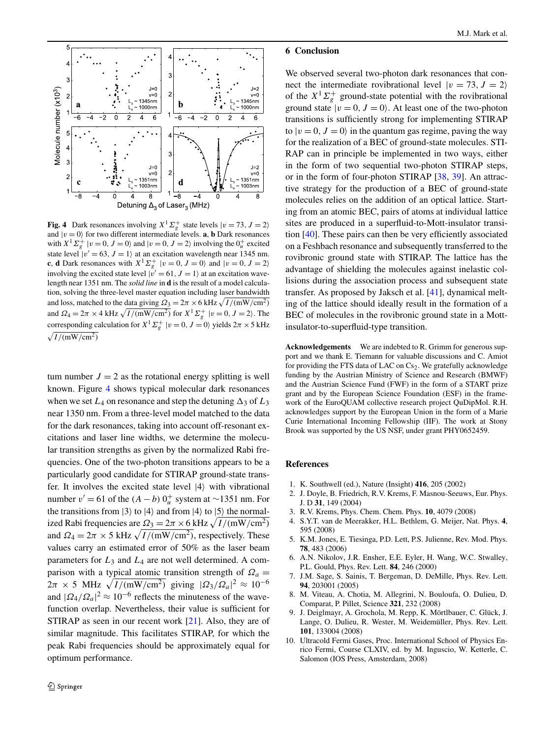<span id="page-5-0"></span>

**Fig. 4** Dark resonances involving  $X^1 \Sigma_g^+$  state levels  $|v = 73, J = 2\rangle$ and  $|v = 0\rangle$  for two different intermediate levels. **a**, **b** Dark resonances with  $X^1 \Sigma_g^+$   $|v = 0, J = 0\rangle$  and  $|v = 0, J = 2\rangle$  involving the  $0^+_u$  excited state level  $|v' = 63, J = 1\rangle$  at an excitation wavelength near 1345 nm. **c**, **d** Dark resonances with  $X^1 \Sigma_g^+$   $|v = 0, J = 0\rangle$  and  $|v = 0, J = 2\rangle$ involving the excited state level  $|v' = 61, J = 1\rangle$  at an excitation wavelength near 1351 nm. The *solid line* in **d** is the result of a model calculation, solving the three-level master equation including laser bandwidth and loss, matched to the data giving  $\Omega_3 = 2\pi \times 6 \text{ kHz } \sqrt{I/(mW/cm^2)}$ and  $\Omega_4 = 2\pi \times 4$  kHz  $\sqrt{I/(mW/cm^2)}$  for  $X^1 \Sigma_g^+$  | $v = 0, J = 2$ }. The corresponding calculation for  $X^1 \Sigma_g^+$   $|v = 0, J = 0\rangle$  yields  $2\pi \times 5$  kHz  $\sqrt{I/(mW/cm^2)}$ 

tum number  $J = 2$  as the rotational energy splitting is well known. Figure 4 shows typical molecular dark resonances when we set  $L_4$  on resonance and step the detuning  $\Delta_3$  of  $L_3$ near 1350 nm. From a three-level model matched to the data for the dark resonances, taking into account off-resonant excitations and laser line widths, we determine the molecular transition strengths as given by the normalized Rabi frequencies. One of the two-photon transitions appears to be a particularly good candidate for STIRAP ground-state transfer. It involves the excited state level  $|4\rangle$  with vibrational number  $v' = 61$  of the  $(A - b)$   $0<sub>u</sub><sup>+</sup>$  system at ~1351 nm. For the transitions from  $|3\rangle$  to  $|4\rangle$  and from  $|4\rangle$  to  $|5\rangle$  the normalized Rabi frequencies are  $\Omega_3 = 2\pi \times 6 \text{ kHz} \sqrt{I/(\text{mW}/\text{cm}^2)}$ and  $\Omega_4 = 2\pi \times 5$  kHz  $\sqrt{I/(mW/cm^2)}$ , respectively. These values carry an estimated error of 50% as the laser beam parameters for  $L_3$  and  $L_4$  are not well determined. A comparison with a typical atomic transition strength of  $\Omega_a$  =  $2\pi \times 5$  MHz  $\sqrt{I/(mW/cm^2)}$  giving  $|\Omega_3/\Omega_a|^2 \approx 10^{-6}$ and  $|\Omega_4/\Omega_a|^2 \approx 10^{-6}$  reflects the minuteness of the wavefunction overlap. Nevertheless, their value is sufficient for STIRAP as seen in our recent work [[21\]](#page-6-0). Also, they are of similar magnitude. This facilitates STIRAP, for which the peak Rabi frequencies should be approximately equal for optimum performance.

## **6 Conclusion**

We observed several two-photon dark resonances that connect the intermediate rovibrational level  $|v = 73, J = 2\rangle$ of the  $X^1 \Sigma_g^+$  ground-state potential with the rovibrational ground state  $|v = 0, J = 0\rangle$ . At least one of the two-photon transitions is sufficiently strong for implementing STIRAP to  $|v = 0, J = 0\rangle$  in the quantum gas regime, paving the way for the realization of a BEC of ground-state molecules. STI-RAP can in principle be implemented in two ways, either in the form of two sequential two-photon STIRAP steps, or in the form of four-photon STIRAP [[38,](#page-6-0) [39](#page-6-0)]. An attractive strategy for the production of a BEC of ground-state molecules relies on the addition of an optical lattice. Starting from an atomic BEC, pairs of atoms at individual lattice sites are produced in a superfluid-to-Mott-insulator transition [\[40](#page-6-0)]. These pairs can then be very efficiently associated on a Feshbach resonance and subsequently transferred to the rovibronic ground state with STIRAP. The lattice has the advantage of shielding the molecules against inelastic collisions during the association process and subsequent state transfer. As proposed by Jaksch et al. [[41](#page-6-0)], dynamical melting of the lattice should ideally result in the formation of a BEC of molecules in the rovibronic ground state in a Mottinsulator-to-superfluid-type transition.

**Acknowledgements** We are indebted to R. Grimm for generous support and we thank E. Tiemann for valuable discussions and C. Amiot for providing the FTS data of LAC on Cs<sub>2</sub>. We gratefully acknowledge funding by the Austrian Ministry of Science and Research (BMWF) and the Austrian Science Fund (FWF) in the form of a START prize grant and by the European Science Foundation (ESF) in the framework of the EuroQUAM collective research project QuDipMol. R.H. acknowledges support by the European Union in the form of a Marie Curie International Incoming Fellowship (IIF). The work at Stony Brook was supported by the US NSF, under grant PHY0652459.

### **References**

- 1. K. Southwell (ed.), Nature (Insight) **416**, 205 (2002)
- 2. J. Doyle, B. Friedrich, R.V. Krems, F. Masnou-Seeuws, Eur. Phys. J. D **31**, 149 (2004)
- 3. R.V. Krems, Phys. Chem. Chem. Phys. **10**, 4079 (2008)
- 4. S.Y.T. van de Meerakker, H.L. Bethlem, G. Meijer, Nat. Phys. **4**, 595 (2008)
- 5. K.M. Jones, E. Tiesinga, P.D. Lett, P.S. Julienne, Rev. Mod. Phys. **78**, 483 (2006)
- 6. A.N. Nikolov, J.R. Ensher, E.E. Eyler, H. Wang, W.C. Stwalley, P.L. Gould, Phys. Rev. Lett. **84**, 246 (2000)
- 7. J.M. Sage, S. Sainis, T. Bergeman, D. DeMille, Phys. Rev. Lett. **94**, 203001 (2005)
- 8. M. Viteau, A. Chotia, M. Allegrini, N. Bouloufa, O. Dulieu, D. Comparat, P. Pillet, Science **321**, 232 (2008)
- 9. J. Deiglmayr, A. Grochola, M. Repp, K. Mörtlbauer, C. Glück, J. Lange, O. Dulieu, R. Wester, M. Weidemüller, Phys. Rev. Lett. **101**, 133004 (2008)
- 10. Ultracold Fermi Gases, Proc. International School of Physics Enrico Fermi, Course CLXIV, ed. by M. Inguscio, W. Ketterle, C. Salomon (IOS Press, Amsterdam, 2008)